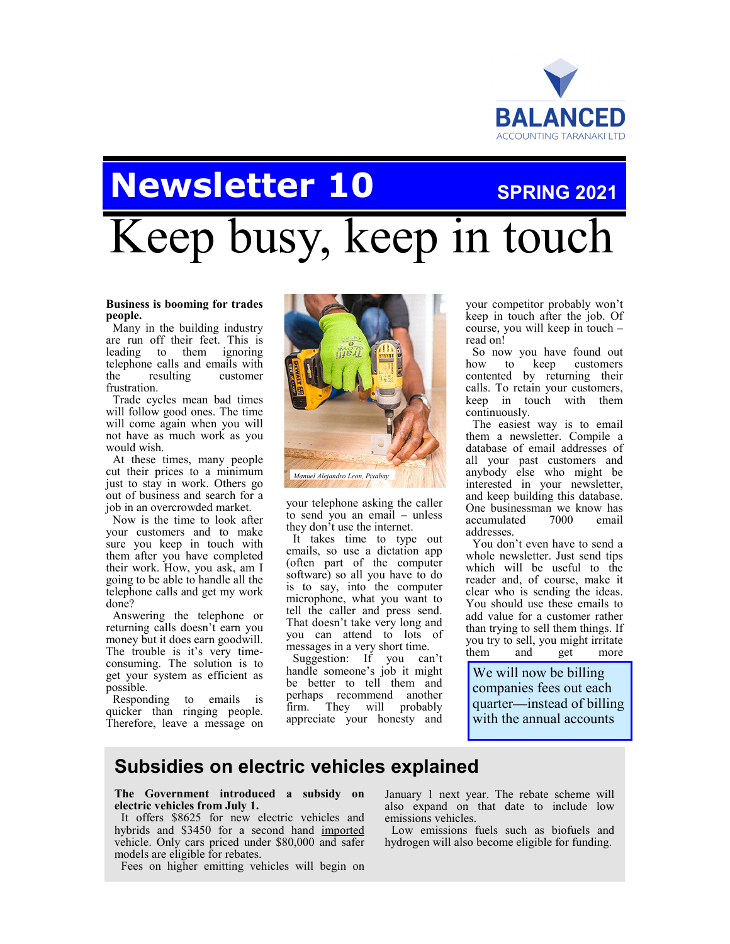

# **Newsletter 10** SPRING 2021

# Keep busy, keep in touch

#### **Business is booming for trades people.**

Many in the building industry are run off their feet. This is leading to them ignoring telephone calls and emails with the resulting customer frustration.

Trade cycles mean bad times will follow good ones. The time will come again when you will not have as much work as you would wish.

At these times, many people cut their prices to a minimum just to stay in work. Others go out of business and search for a job in an overcrowded market.

Now is the time to look after your customers and to make sure you keep in touch with them after you have completed their work. How, you ask, am I going to be able to handle all the telephone calls and get my work done?

Answering the telephone or returning calls doesn't earn you money but it does earn goodwill. The trouble is it's very timeconsuming. The solution is to get your system as efficient as possible.

Responding to emails is quicker than ringing people. Therefore, leave a message on



your telephone asking the caller to send you an email – unless they don't use the internet.

It takes time to type out emails, so use a dictation app (often part of the computer software) so all you have to do is to say, into the computer microphone, what you want to tell the caller and press send. That doesn't take very long and you can attend to lots of messages in a very short time.

Suggestion: If you can't handle someone's job it might be better to tell them and perhaps recommend another firm. They will probably appreciate your honesty and

your competitor probably won't keep in touch after the job. Of course, you will keep in touch – read on!

So now you have found out how to keep customers contented by returning their calls. To retain your customers, keep in touch with them continuously.

The easiest way is to email them a newsletter. Compile a database of email addresses of all your past customers and anybody else who might be interested in your newsletter, and keep building this database. One businessman we know has<br>accumulated 7000 email accumulated 7000 email addresses.

You don't even have to send a whole newsletter. Just send tips which will be useful to the reader and, of course, make it clear who is sending the ideas. You should use these emails to add value for a customer rather than trying to sell them things. If you try to sell, you might irritate them and get more

We will now be billing companies fees out each quarter—instead of billing with the annual accounts

### **Subsidies on electric vehicles explained**

**The Government introduced a subsidy on electric vehicles from July 1.** 

It offers \$8625 for new electric vehicles and hybrids and \$3450 for a second hand imported vehicle. Only cars priced under \$80,000 and safer models are eligible for rebates.

Fees on higher emitting vehicles will begin on

January 1 next year. The rebate scheme will also expand on that date to include low emissions vehicles.

Low emissions fuels such as biofuels and hydrogen will also become eligible for funding.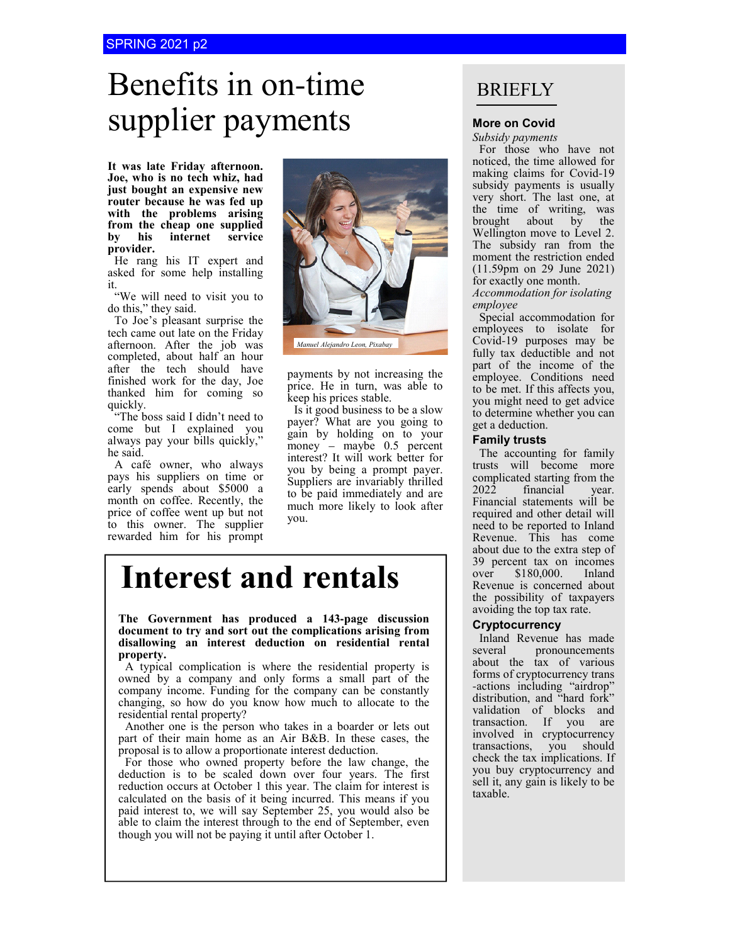# Benefits in on-time **Supplier payments** More on Covid

**It was late Friday afternoon. Joe, who is no tech whiz, had just bought an expensive new router because he was fed up with the problems arising from the cheap one supplied by his internet service provider.** 

He rang his IT expert and asked for some help installing it.

"We will need to visit you to do this," they said.

To Joe's pleasant surprise the tech came out late on the Friday afternoon. After the job was completed, about half an hour after the tech should have finished work for the day, Joe thanked him for coming so quickly.

"The boss said I didn't need to come but I explained you always pay your bills quickly," he said.

A café owner, who always pays his suppliers on time or early spends about \$5000 a month on coffee. Recently, the price of coffee went up but not to this owner. The supplier rewarded him for his prompt



payments by not increasing the price. He in turn, was able to keep his prices stable.

Is it good business to be a slow payer? What are you going to gain by holding on to your money – maybe 0.5 percent interest? It will work better for you by being a prompt payer. Suppliers are invariably thrilled to be paid immediately and are much more likely to look after you.

# **Interest and rentals**

**The Government has produced a 143-page discussion document to try and sort out the complications arising from disallowing an interest deduction on residential rental property.** 

A typical complication is where the residential property is owned by a company and only forms a small part of the company income. Funding for the company can be constantly changing, so how do you know how much to allocate to the residential rental property?

Another one is the person who takes in a boarder or lets out part of their main home as an Air B&B. In these cases, the proposal is to allow a proportionate interest deduction.

For those who owned property before the law change, the deduction is to be scaled down over four years. The first reduction occurs at October 1 this year. The claim for interest is calculated on the basis of it being incurred. This means if you paid interest to, we will say September 25, you would also be able to claim the interest through to the end of September, even though you will not be paying it until after October 1.

### BRIEFLY

*Subsidy payments*

For those who have not noticed, the time allowed for making claims for Covid-19 subsidy payments is usually very short. The last one, at the time of writing, was brought about by the Wellington move to Level 2. The subsidy ran from the moment the restriction ended (11.59pm on 29 June 2021) for exactly one month.

*Accommodation for isolating employee*

Special accommodation for employees to isolate for Covid-19 purposes may be fully tax deductible and not part of the income of the employee. Conditions need to be met. If this affects you, you might need to get advice to determine whether you can get a deduction.

#### **Family trusts**

The accounting for family trusts will become more complicated starting from the<br>2022 financial vear. financial year. Financial statements will be required and other detail will need to be reported to Inland Revenue. This has come about due to the extra step of 39 percent tax on incomes<br>over \$180,000. Inland  $$180,000.$ Revenue is concerned about the possibility of taxpayers avoiding the top tax rate.

#### **Cryptocurrency**

Inland Revenue has made several pronouncements about the tax of various forms of cryptocurrency trans -actions including "airdrop" distribution, and "hard fork" validation of blocks and transaction. If you are involved in cryptocurrency transactions, you should check the tax implications. If you buy cryptocurrency and sell it, any gain is likely to be taxable.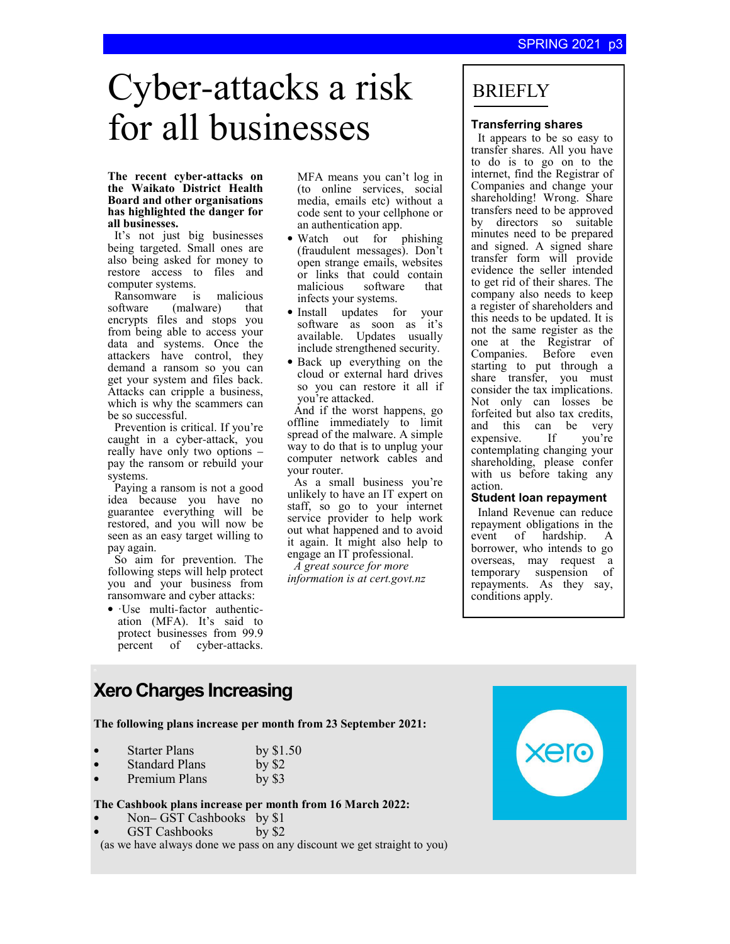# Cyber-attacks a risk for all businesses

#### **The recent cyber-attacks on the Waikato District Health Board and other organisations has highlighted the danger for all businesses.**

It's not just big businesses being targeted. Small ones are also being asked for money to restore access to files and computer systems.

Ransomware is malicious<br>software (malware) that (malware) that encrypts files and stops you from being able to access your data and systems. Once the attackers have control, they demand a ransom so you can get your system and files back. Attacks can cripple a business, which is why the scammers can be so successful.

Prevention is critical. If you're caught in a cyber-attack, you really have only two options – pay the ransom or rebuild your systems.

Paying a ransom is not a good idea because you have no guarantee everything will be restored, and you will now be seen as an easy target willing to pay again.

So aim for prevention. The following steps will help protect you and your business from ransomware and cyber attacks:

• ·Use multi-factor authentication (MFA). It's said to protect businesses from 99.9 percent of cyber-attacks.

MFA means you can't log in (to online services, social media, emails etc) without a code sent to your cellphone or an authentication app.

- Watch out for phishing (fraudulent messages). Don't open strange emails, websites or links that could contain<br>malicious software that malicious software infects your systems.
- Install updates for your software as soon as it's available. Updates usually include strengthened security.
- Back up everything on the cloud or external hard drives so you can restore it all if you're attacked.

And if the worst happens, go offline immediately to limit spread of the malware. A simple way to do that is to unplug your computer network cables and your router.

As a small business you're unlikely to have an IT expert on staff, so go to your internet service provider to help work out what happened and to avoid it again. It might also help to engage an IT professional.

*A great source for more information is at cert.govt.nz*

### BRIEFLY

#### **Transferring shares**

It appears to be so easy to transfer shares. All you have to do is to go on to the internet, find the Registrar of Companies and change your shareholding! Wrong. Share transfers need to be approved by directors so suitable minutes need to be prepared and signed. A signed share transfer form will provide evidence the seller intended to get rid of their shares. The company also needs to keep a register of shareholders and this needs to be updated. It is not the same register as the one at the Registrar of Companies. Before even starting to put through a share transfer, you must consider the tax implications. Not only can losses be forfeited but also tax credits, and this can be very<br>expensive. If vou're expensive. If you're contemplating changing your shareholding, please confer with us before taking any action.

#### **Student loan repayment**

Inland Revenue can reduce repayment obligations in the<br>event of hardship. A event of hardship. A borrower, who intends to go overseas, may request a temporary suspension of repayments. As they say, conditions apply.

### **Xero Charges Increasing**

#### **The following plans increase per month from 23 September 2021:**

| <b>Starter Plans</b> | by $$1.50$ |
|----------------------|------------|
|----------------------|------------|

| by $$2$ |
|---------|
|         |

Premium Plans by \$3

#### **The Cashbook plans increase per month from 16 March 2022:**

- Non– GST Cashbooks by \$1<br>GST Cashbooks by \$2
- GST Cashbooks

(as we have always done we pass on any discount we get straight to you)